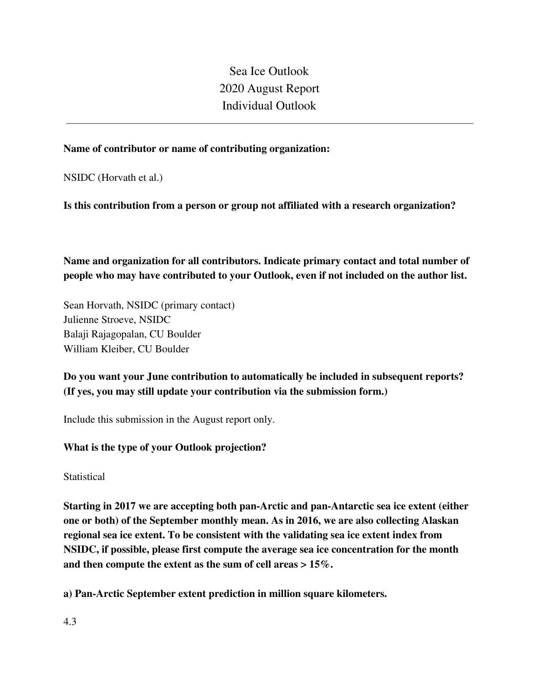Sea Ice Outlook 2020 August Report Individual Outlook

## **Name of contributor or name of contributing organization:**

NSIDC (Horvath et al.)

**Is this contribution from a person or group not affiliated with a research organization?** 

**Name and organization for all contributors. Indicate primary contact and total number of people who may have contributed to your Outlook, even if not included on the author list.**

Sean Horvath, NSIDC (primary contact) Julienne Stroeve, NSIDC Balaji Rajagopalan, CU Boulder William Kleiber, CU Boulder

**Do you want your June contribution to automatically be included in subsequent reports? (If yes, you may still update your contribution via the submission form.)**

Include this submission in the August report only.

## **What is the type of your Outlook projection?**

**Statistical** 

**Starting in 2017 we are accepting both pan-Arctic and pan-Antarctic sea ice extent (either one or both) of the September monthly mean. As in 2016, we are also collecting Alaskan regional sea ice extent. To be consistent with the validating sea ice extent index from NSIDC, if possible, please first compute the average sea ice concentration for the month and then compute the extent as the sum of cell areas > 15%.**

**a) Pan-Arctic September extent prediction in million square kilometers.**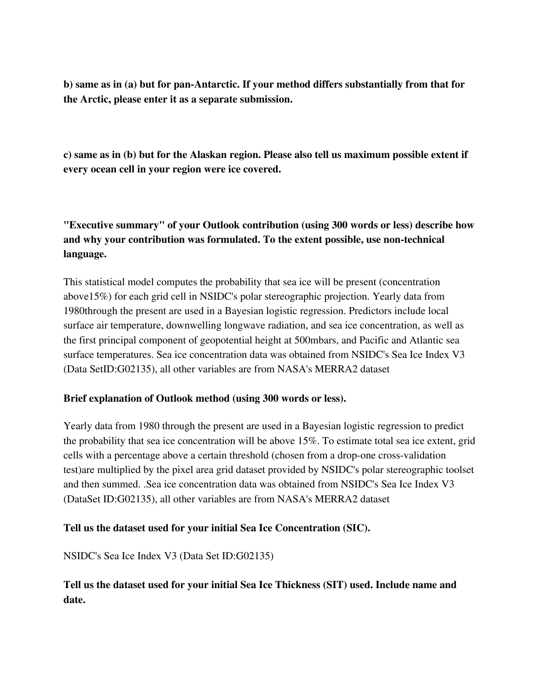**b) same as in (a) but for pan-Antarctic. If your method differs substantially from that for the Arctic, please enter it as a separate submission.**

**c) same as in (b) but for the Alaskan region. Please also tell us maximum possible extent if every ocean cell in your region were ice covered.**

**"Executive summary" of your Outlook contribution (using 300 words or less) describe how and why your contribution was formulated. To the extent possible, use non-technical language.**

This statistical model computes the probability that sea ice will be present (concentration above15%) for each grid cell in NSIDC's polar stereographic projection. Yearly data from 1980through the present are used in a Bayesian logistic regression. Predictors include local surface air temperature, downwelling longwave radiation, and sea ice concentration, as well as the first principal component of geopotential height at 500mbars, and Pacific and Atlantic sea surface temperatures. Sea ice concentration data was obtained from NSIDC's Sea Ice Index V3 (Data SetID:G02135), all other variables are from NASA's MERRA2 dataset

## **Brief explanation of Outlook method (using 300 words or less).**

Yearly data from 1980 through the present are used in a Bayesian logistic regression to predict the probability that sea ice concentration will be above 15%. To estimate total sea ice extent, grid cells with a percentage above a certain threshold (chosen from a drop-one cross-validation test)are multiplied by the pixel area grid dataset provided by NSIDC's polar stereographic toolset and then summed. .Sea ice concentration data was obtained from NSIDC's Sea Ice Index V3 (DataSet ID:G02135), all other variables are from NASA's MERRA2 dataset

## **Tell us the dataset used for your initial Sea Ice Concentration (SIC).**

NSIDC's Sea Ice Index V3 (Data Set ID:G02135)

# **Tell us the dataset used for your initial Sea Ice Thickness (SIT) used. Include name and date.**